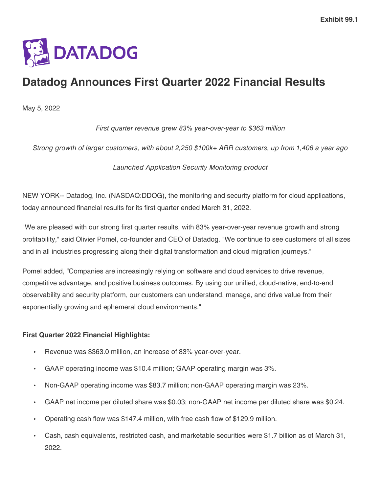

# **Datadog Announces First Quarter 2022 Financial Results**

May 5, 2022

First quarter revenue grew 83% year-over-year to \$363 million

Strong growth of larger customers, with about 2,250 \$100k+ ARR customers, up from 1,406 a year ago

Launched Application Security Monitoring product

NEW YORK-- Datadog, Inc. (NASDAQ:DDOG), the monitoring and security platform for cloud applications, today announced financial results for its first quarter ended March 31, 2022.

"We are pleased with our strong first quarter results, with 83% year-over-year revenue growth and strong profitability," said Olivier Pomel, co-founder and CEO of Datadog. "We continue to see customers of all sizes and in all industries progressing along their digital transformation and cloud migration journeys."

Pomel added, "Companies are increasingly relying on software and cloud services to drive revenue, competitive advantage, and positive business outcomes. By using our unified, cloud-native, end-to-end observability and security platform, our customers can understand, manage, and drive value from their exponentially growing and ephemeral cloud environments."

#### **First Quarter 2022 Financial Highlights:**

- Revenue was \$363.0 million, an increase of 83% year-over-year.
- GAAP operating income was \$10.4 million; GAAP operating margin was 3%.
- Non-GAAP operating income was \$83.7 million; non-GAAP operating margin was 23%.
- GAAP net income per diluted share was \$0.03; non-GAAP net income per diluted share was \$0.24.
- Operating cash flow was \$147.4 million, with free cash flow of \$129.9 million.
- Cash, cash equivalents, restricted cash, and marketable securities were \$1.7 billion as of March 31, 2022.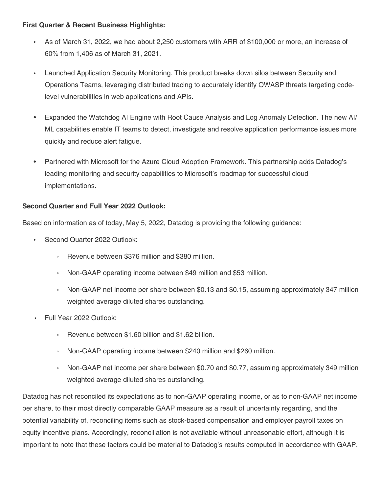## **First Quarter & Recent Business Highlights:**

- As of March 31, 2022, we had about 2,250 customers with ARR of \$100,000 or more, an increase of 60% from 1,406 as of March 31, 2021.
- Launched Application Security Monitoring. This product breaks down silos between Security and Operations Teams, leveraging distributed tracing to accurately identify OWASP threats targeting codelevel vulnerabilities in web applications and APIs.
- Expanded the Watchdog AI Engine with Root Cause Analysis and Log Anomaly Detection. The new AI/ ML capabilities enable IT teams to detect, investigate and resolve application performance issues more quickly and reduce alert fatigue.
- Partnered with Microsoft for the Azure Cloud Adoption Framework. This partnership adds Datadog's leading monitoring and security capabilities to Microsoft's roadmap for successful cloud implementations.

## **Second Quarter and Full Year 2022 Outlook:**

Based on information as of today, May 5, 2022, Datadog is providing the following guidance:

- Second Quarter 2022 Outlook:
	- Revenue between \$376 million and \$380 million.
	- Non-GAAP operating income between \$49 million and \$53 million.
	- Non-GAAP net income per share between \$0.13 and \$0.15, assuming approximately 347 million weighted average diluted shares outstanding.
- Full Year 2022 Outlook:
	- Revenue between \$1.60 billion and \$1.62 billion.
	- Non-GAAP operating income between \$240 million and \$260 million.
	- Non-GAAP net income per share between \$0.70 and \$0.77, assuming approximately 349 million weighted average diluted shares outstanding.

Datadog has not reconciled its expectations as to non-GAAP operating income, or as to non-GAAP net income per share, to their most directly comparable GAAP measure as a result of uncertainty regarding, and the potential variability of, reconciling items such as stock-based compensation and employer payroll taxes on equity incentive plans. Accordingly, reconciliation is not available without unreasonable effort, although it is important to note that these factors could be material to Datadog's results computed in accordance with GAAP.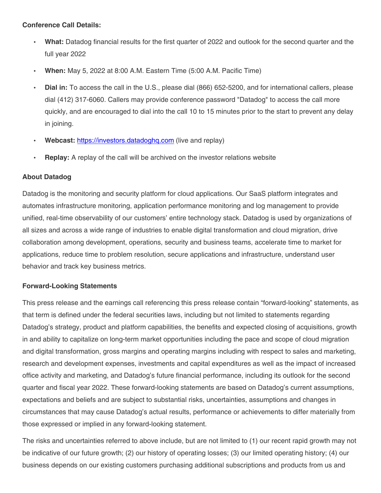### **Conference Call Details:**

- **What:** Datadog financial results for the first quarter of 2022 and outlook for the second quarter and the full year 2022
- **When:** May 5, 2022 at 8:00 A.M. Eastern Time (5:00 A.M. Pacific Time)
- **Dial in:** To access the call in the U.S., please dial (866) 652-5200, and for international callers, please dial (412) 317-6060. Callers may provide conference password "Datadog" to access the call more quickly, and are encouraged to dial into the call 10 to 15 minutes prior to the start to prevent any delay in joining.
- **Webcast:** https://investors.datadoghq.com (live and replay)
- **Replay:** A replay of the call will be archived on the investor relations website

## **About Datadog**

Datadog is the monitoring and security platform for cloud applications. Our SaaS platform integrates and automates infrastructure monitoring, application performance monitoring and log management to provide unified, real-time observability of our customers' entire technology stack. Datadog is used by organizations of all sizes and across a wide range of industries to enable digital transformation and cloud migration, drive collaboration among development, operations, security and business teams, accelerate time to market for applications, reduce time to problem resolution, secure applications and infrastructure, understand user behavior and track key business metrics.

## **Forward-Looking Statements**

This press release and the earnings call referencing this press release contain "forward-looking" statements, as that term is defined under the federal securities laws, including but not limited to statements regarding Datadog's strategy, product and platform capabilities, the benefits and expected closing of acquisitions, growth in and ability to capitalize on long-term market opportunities including the pace and scope of cloud migration and digital transformation, gross margins and operating margins including with respect to sales and marketing, research and development expenses, investments and capital expenditures as well as the impact of increased office activity and marketing, and Datadog's future financial performance, including its outlook for the second quarter and fiscal year 2022. These forward-looking statements are based on Datadog's current assumptions, expectations and beliefs and are subject to substantial risks, uncertainties, assumptions and changes in circumstances that may cause Datadog's actual results, performance or achievements to differ materially from those expressed or implied in any forward-looking statement.

The risks and uncertainties referred to above include, but are not limited to (1) our recent rapid growth may not be indicative of our future growth; (2) our history of operating losses; (3) our limited operating history; (4) our business depends on our existing customers purchasing additional subscriptions and products from us and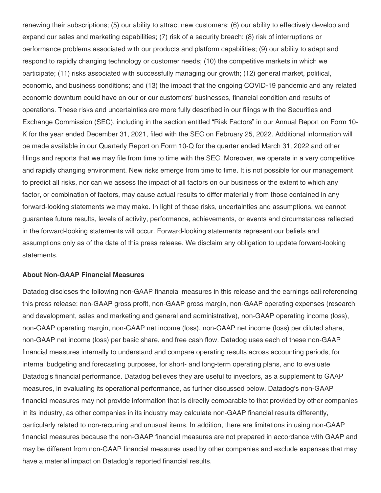renewing their subscriptions; (5) our ability to attract new customers; (6) our ability to effectively develop and expand our sales and marketing capabilities; (7) risk of a security breach; (8) risk of interruptions or performance problems associated with our products and platform capabilities; (9) our ability to adapt and respond to rapidly changing technology or customer needs; (10) the competitive markets in which we participate; (11) risks associated with successfully managing our growth; (12) general market, political, economic, and business conditions; and (13) the impact that the ongoing COVID-19 pandemic and any related economic downturn could have on our or our customers' businesses, financial condition and results of operations. These risks and uncertainties are more fully described in our filings with the Securities and Exchange Commission (SEC), including in the section entitled "Risk Factors" in our Annual Report on Form 10- K for the year ended December 31, 2021, filed with the SEC on February 25, 2022. Additional information will be made available in our Quarterly Report on Form 10-Q for the quarter ended March 31, 2022 and other filings and reports that we may file from time to time with the SEC. Moreover, we operate in a very competitive and rapidly changing environment. New risks emerge from time to time. It is not possible for our management to predict all risks, nor can we assess the impact of all factors on our business or the extent to which any factor, or combination of factors, may cause actual results to differ materially from those contained in any forward-looking statements we may make. In light of these risks, uncertainties and assumptions, we cannot guarantee future results, levels of activity, performance, achievements, or events and circumstances reflected in the forward-looking statements will occur. Forward-looking statements represent our beliefs and assumptions only as of the date of this press release. We disclaim any obligation to update forward-looking statements.

#### **About Non-GAAP Financial Measures**

Datadog discloses the following non-GAAP financial measures in this release and the earnings call referencing this press release: non-GAAP gross profit, non-GAAP gross margin, non-GAAP operating expenses (research and development, sales and marketing and general and administrative), non-GAAP operating income (loss), non-GAAP operating margin, non-GAAP net income (loss), non-GAAP net income (loss) per diluted share, non-GAAP net income (loss) per basic share, and free cash flow. Datadog uses each of these non-GAAP financial measures internally to understand and compare operating results across accounting periods, for internal budgeting and forecasting purposes, for short- and long-term operating plans, and to evaluate Datadog's financial performance. Datadog believes they are useful to investors, as a supplement to GAAP measures, in evaluating its operational performance, as further discussed below. Datadog's non-GAAP financial measures may not provide information that is directly comparable to that provided by other companies in its industry, as other companies in its industry may calculate non-GAAP financial results differently, particularly related to non-recurring and unusual items. In addition, there are limitations in using non-GAAP financial measures because the non-GAAP financial measures are not prepared in accordance with GAAP and may be different from non-GAAP financial measures used by other companies and exclude expenses that may have a material impact on Datadog's reported financial results.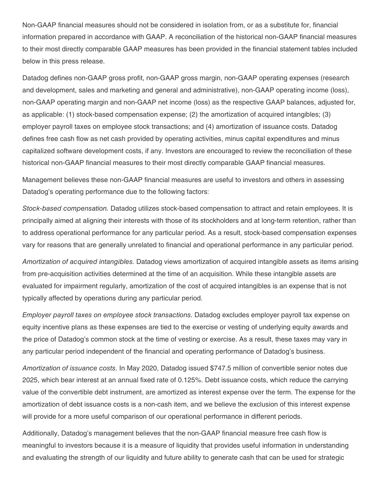Non-GAAP financial measures should not be considered in isolation from, or as a substitute for, financial information prepared in accordance with GAAP. A reconciliation of the historical non-GAAP financial measures to their most directly comparable GAAP measures has been provided in the financial statement tables included below in this press release.

Datadog defines non-GAAP gross profit, non-GAAP gross margin, non-GAAP operating expenses (research and development, sales and marketing and general and administrative), non-GAAP operating income (loss), non-GAAP operating margin and non-GAAP net income (loss) as the respective GAAP balances, adjusted for, as applicable: (1) stock-based compensation expense; (2) the amortization of acquired intangibles; (3) employer payroll taxes on employee stock transactions; and (4) amortization of issuance costs. Datadog defines free cash flow as net cash provided by operating activities, minus capital expenditures and minus capitalized software development costs, if any. Investors are encouraged to review the reconciliation of these historical non-GAAP financial measures to their most directly comparable GAAP financial measures.

Management believes these non-GAAP financial measures are useful to investors and others in assessing Datadog's operating performance due to the following factors:

Stock-based compensation. Datadog utilizes stock-based compensation to attract and retain employees. It is principally aimed at aligning their interests with those of its stockholders and at long-term retention, rather than to address operational performance for any particular period. As a result, stock-based compensation expenses vary for reasons that are generally unrelated to financial and operational performance in any particular period.

Amortization of acquired intangibles. Datadog views amortization of acquired intangible assets as items arising from pre-acquisition activities determined at the time of an acquisition. While these intangible assets are evaluated for impairment regularly, amortization of the cost of acquired intangibles is an expense that is not typically affected by operations during any particular period.

Employer payroll taxes on employee stock transactions. Datadog excludes employer payroll tax expense on equity incentive plans as these expenses are tied to the exercise or vesting of underlying equity awards and the price of Datadog's common stock at the time of vesting or exercise. As a result, these taxes may vary in any particular period independent of the financial and operating performance of Datadog's business.

Amortization of issuance costs. In May 2020, Datadog issued \$747.5 million of convertible senior notes due 2025, which bear interest at an annual fixed rate of 0.125%. Debt issuance costs, which reduce the carrying value of the convertible debt instrument, are amortized as interest expense over the term. The expense for the amortization of debt issuance costs is a non-cash item, and we believe the exclusion of this interest expense will provide for a more useful comparison of our operational performance in different periods.

Additionally, Datadog's management believes that the non-GAAP financial measure free cash flow is meaningful to investors because it is a measure of liquidity that provides useful information in understanding and evaluating the strength of our liquidity and future ability to generate cash that can be used for strategic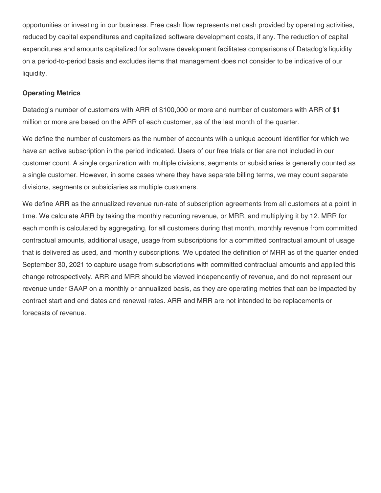opportunities or investing in our business. Free cash flow represents net cash provided by operating activities, reduced by capital expenditures and capitalized software development costs, if any. The reduction of capital expenditures and amounts capitalized for software development facilitates comparisons of Datadog's liquidity on a period-to-period basis and excludes items that management does not consider to be indicative of our liquidity.

#### **Operating Metrics**

Datadog's number of customers with ARR of \$100,000 or more and number of customers with ARR of \$1 million or more are based on the ARR of each customer, as of the last month of the quarter.

We define the number of customers as the number of accounts with a unique account identifier for which we have an active subscription in the period indicated. Users of our free trials or tier are not included in our customer count. A single organization with multiple divisions, segments or subsidiaries is generally counted as a single customer. However, in some cases where they have separate billing terms, we may count separate divisions, segments or subsidiaries as multiple customers.

We define ARR as the annualized revenue run-rate of subscription agreements from all customers at a point in time. We calculate ARR by taking the monthly recurring revenue, or MRR, and multiplying it by 12. MRR for each month is calculated by aggregating, for all customers during that month, monthly revenue from committed contractual amounts, additional usage, usage from subscriptions for a committed contractual amount of usage that is delivered as used, and monthly subscriptions. We updated the definition of MRR as of the quarter ended September 30, 2021 to capture usage from subscriptions with committed contractual amounts and applied this change retrospectively. ARR and MRR should be viewed independently of revenue, and do not represent our revenue under GAAP on a monthly or annualized basis, as they are operating metrics that can be impacted by contract start and end dates and renewal rates. ARR and MRR are not intended to be replacements or forecasts of revenue.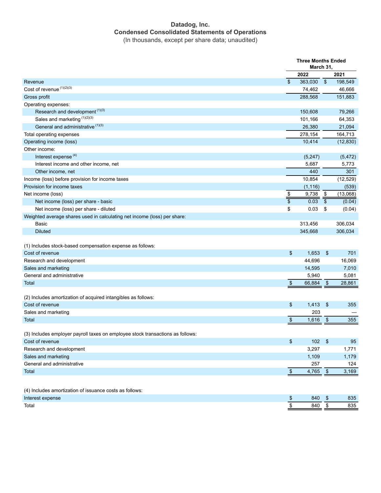## **Datadog, Inc. Condensed Consolidated Statements of Operations**

(In thousands, except per share data; unaudited)

|                                                                                |                | <b>Three Months Ended</b><br>March 31, |                          |           |  |
|--------------------------------------------------------------------------------|----------------|----------------------------------------|--------------------------|-----------|--|
|                                                                                |                | 2022                                   |                          | 2021      |  |
| Revenue                                                                        | $\mathfrak{S}$ | 363,030                                | $\sqrt{3}$               | 198,549   |  |
| Cost of revenue (1)(2)(3)                                                      |                | 74,462                                 |                          | 46,666    |  |
| Gross profit                                                                   |                | 288,568                                |                          | 151,883   |  |
| Operating expenses:                                                            |                |                                        |                          |           |  |
| Research and development (1)(3)                                                |                | 150,608                                |                          | 79,266    |  |
| Sales and marketing (1)(2)(3)                                                  |                | 101,166                                |                          | 64,353    |  |
| General and administrative (1)(3)                                              |                | 26,380                                 |                          | 21,094    |  |
| Total operating expenses                                                       |                | 278,154                                |                          | 164,713   |  |
| Operating income (loss)                                                        |                | 10,414                                 |                          | (12, 830) |  |
| Other income:                                                                  |                |                                        |                          |           |  |
| Interest expense <sup>(4)</sup>                                                |                | (5,247)                                |                          | (5, 472)  |  |
| Interest income and other income, net                                          |                | 5,687                                  |                          | 5,773     |  |
| Other income, net                                                              |                | 440                                    |                          | 301       |  |
| Income (loss) before provision for income taxes                                |                | 10,854                                 |                          | (12, 529) |  |
| Provision for income taxes                                                     |                | (1, 116)                               |                          | (539)     |  |
| Net income (loss)                                                              |                | 9,738                                  | \$                       | (13,068)  |  |
| Net income (loss) per share - basic                                            | $\frac{3}{9}$  | 0.03                                   | $\overline{\mathcal{F}}$ | (0.04)    |  |
| Net income (loss) per share - diluted                                          | \$             | 0.03                                   | \$                       | (0.04)    |  |
| Weighted average shares used in calculating net income (loss) per share:       |                |                                        |                          |           |  |
| Basic                                                                          |                | 313,456                                |                          | 306,034   |  |
| <b>Diluted</b>                                                                 |                | 345,668                                |                          | 306,034   |  |
|                                                                                |                |                                        |                          |           |  |
| (1) Includes stock-based compensation expense as follows:                      |                |                                        |                          |           |  |
| Cost of revenue                                                                | $\,$           | 1,653                                  | $\sqrt{3}$               | 701       |  |
| Research and development                                                       |                | 44,696                                 |                          | 16,069    |  |
| Sales and marketing                                                            |                | 14,595                                 |                          | 7,010     |  |
| General and administrative                                                     |                | 5,940                                  |                          | 5,081     |  |
| Total                                                                          | \$             | 66,884                                 | -\$                      | 28,861    |  |
|                                                                                |                |                                        |                          |           |  |
| (2) Includes amortization of acquired intangibles as follows:                  |                |                                        |                          |           |  |
| Cost of revenue                                                                | \$             | 1,413                                  | $\mathfrak{s}$           | 355       |  |
| Sales and marketing                                                            |                | 203                                    |                          |           |  |
| Total                                                                          | \$             | 1,616                                  | $\sqrt{3}$               | 355       |  |
|                                                                                |                |                                        |                          |           |  |
| (3) Includes employer payroll taxes on employee stock transactions as follows: |                |                                        |                          |           |  |
| Cost of revenue                                                                | \$             | $102$ \$                               |                          | 95        |  |
| Research and development                                                       |                | 3,297                                  |                          | 1,771     |  |
| Sales and marketing                                                            |                | 1,109                                  |                          | 1,179     |  |
| General and administrative                                                     |                | 257                                    |                          | 124       |  |
| Total                                                                          | $\frac{1}{2}$  | 4,765                                  | $\sqrt{3}$               | 3,169     |  |
|                                                                                |                |                                        |                          |           |  |

(4) Includes amortization of issuance costs as follows:

| Intere<br>.<br><b>ANDUROL</b> | 92 A L | 02E<br>vv. |
|-------------------------------|--------|------------|
| Total                         | υл.    | OOE<br>ບບເ |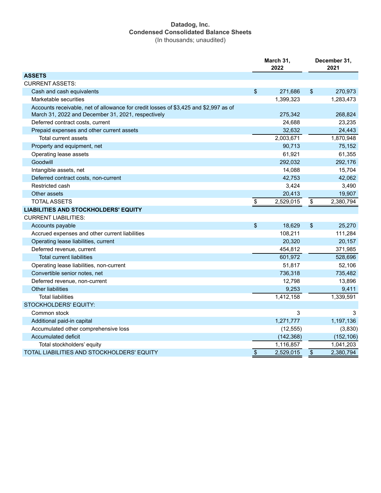## **Datadog, Inc. Condensed Consolidated Balance Sheets**

(In thousands; unaudited)

|                                                                                                                                            |                         | March 31,<br>2022 |                | December 31,<br>2021 |
|--------------------------------------------------------------------------------------------------------------------------------------------|-------------------------|-------------------|----------------|----------------------|
| <b>ASSETS</b>                                                                                                                              |                         |                   |                |                      |
| <b>CURRENT ASSETS:</b>                                                                                                                     |                         |                   |                |                      |
| Cash and cash equivalents                                                                                                                  | $\sqrt[6]{\frac{1}{2}}$ | 271,686           | \$             | 270,973              |
| Marketable securities                                                                                                                      |                         | 1,399,323         |                | 1,283,473            |
| Accounts receivable, net of allowance for credit losses of \$3,425 and \$2,997 as of<br>March 31, 2022 and December 31, 2021, respectively |                         | 275,342           |                | 268,824              |
| Deferred contract costs, current                                                                                                           |                         | 24,688            |                | 23,235               |
| Prepaid expenses and other current assets                                                                                                  |                         | 32,632            |                | 24,443               |
| <b>Total current assets</b>                                                                                                                |                         | 2,003,671         |                | 1,870,948            |
| Property and equipment, net                                                                                                                |                         | 90,713            |                | 75,152               |
| Operating lease assets                                                                                                                     |                         | 61,921            |                | 61,355               |
| Goodwill                                                                                                                                   |                         | 292,032           |                | 292,176              |
| Intangible assets, net                                                                                                                     |                         | 14,088            |                | 15,704               |
| Deferred contract costs, non-current                                                                                                       |                         | 42,753            |                | 42,062               |
| Restricted cash                                                                                                                            |                         | 3,424             |                | 3,490                |
| Other assets                                                                                                                               |                         | 20,413            |                | 19,907               |
| <b>TOTAL ASSETS</b>                                                                                                                        | $\boldsymbol{\$}$       | 2,529,015         | $$\mathbb{S}$$ | 2,380,794            |
| <b>LIABILITIES AND STOCKHOLDERS' EQUITY</b>                                                                                                |                         |                   |                |                      |
| <b>CURRENT LIABILITIES:</b>                                                                                                                |                         |                   |                |                      |
| Accounts payable                                                                                                                           | $\frac{1}{2}$           | 18,629            | \$             | 25,270               |
| Accrued expenses and other current liabilities                                                                                             |                         | 108,211           |                | 111,284              |
| Operating lease liabilities, current                                                                                                       |                         | 20,320            |                | 20,157               |
| Deferred revenue, current                                                                                                                  |                         | 454,812           |                | 371,985              |
| <b>Total current liabilities</b>                                                                                                           |                         | 601,972           |                | 528,696              |
| Operating lease liabilities, non-current                                                                                                   |                         | 51,817            |                | 52,106               |
| Convertible senior notes, net                                                                                                              |                         | 736,318           |                | 735,482              |
| Deferred revenue, non-current                                                                                                              |                         | 12,798            |                | 13,896               |
| <b>Other liabilities</b>                                                                                                                   |                         | 9,253             |                | 9,411                |
| <b>Total liabilities</b>                                                                                                                   |                         | 1,412,158         |                | 1,339,591            |
| STOCKHOLDERS' EQUITY:                                                                                                                      |                         |                   |                |                      |
| Common stock                                                                                                                               |                         | 3                 |                | 3                    |
| Additional paid-in capital                                                                                                                 |                         | 1,271,777         |                | 1,197,136            |
| Accumulated other comprehensive loss                                                                                                       |                         | (12, 555)         |                | (3,830)              |
| <b>Accumulated deficit</b>                                                                                                                 |                         | (142, 368)        |                | (152, 106)           |
| Total stockholders' equity                                                                                                                 |                         | 1,116,857         |                | 1,041,203            |
| TOTAL LIABILITIES AND STOCKHOLDERS' EQUITY                                                                                                 | $\mathfrak{s}$          | 2,529,015         | $\$\$          | 2,380,794            |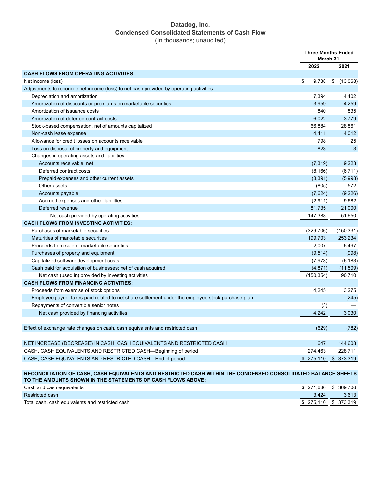## **Datadog, Inc. Condensed Consolidated Statements of Cash Flow**

(In thousands; unaudited)

|                                                                                                                                                                              | <b>Three Months Ended</b><br>March 31, |            |    |            |
|------------------------------------------------------------------------------------------------------------------------------------------------------------------------------|----------------------------------------|------------|----|------------|
|                                                                                                                                                                              |                                        | 2022       |    | 2021       |
| <b>CASH FLOWS FROM OPERATING ACTIVITIES:</b>                                                                                                                                 |                                        |            |    |            |
| Net income (loss)                                                                                                                                                            | \$                                     | 9,738      | \$ | (13,068)   |
| Adjustments to reconcile net income (loss) to net cash provided by operating activities:                                                                                     |                                        |            |    |            |
| Depreciation and amortization                                                                                                                                                |                                        | 7,394      |    | 4,402      |
| Amortization of discounts or premiums on marketable securities                                                                                                               |                                        | 3,959      |    | 4,259      |
| Amortization of issuance costs                                                                                                                                               |                                        | 840        |    | 835        |
| Amortization of deferred contract costs                                                                                                                                      |                                        | 6,022      |    | 3,779      |
| Stock-based compensation, net of amounts capitalized                                                                                                                         |                                        | 66,884     |    | 28,861     |
| Non-cash lease expense                                                                                                                                                       |                                        | 4,411      |    | 4,012      |
| Allowance for credit losses on accounts receivable                                                                                                                           |                                        | 798        |    | 25         |
| Loss on disposal of property and equipment                                                                                                                                   |                                        | 823        |    | 3          |
| Changes in operating assets and liabilities:                                                                                                                                 |                                        |            |    |            |
| Accounts receivable, net                                                                                                                                                     |                                        | (7, 319)   |    | 9,223      |
| Deferred contract costs                                                                                                                                                      |                                        | (8, 166)   |    | (6, 711)   |
| Prepaid expenses and other current assets                                                                                                                                    |                                        | (8,391)    |    | (5,998)    |
| Other assets                                                                                                                                                                 |                                        | (805)      |    | 572        |
| Accounts payable                                                                                                                                                             |                                        | (7,624)    |    | (9,226)    |
| Accrued expenses and other liabilities                                                                                                                                       |                                        | (2,911)    |    | 9,682      |
| Deferred revenue                                                                                                                                                             |                                        | 81,735     |    | 21,000     |
| Net cash provided by operating activities                                                                                                                                    |                                        | 147,388    |    | 51,650     |
| <b>CASH FLOWS FROM INVESTING ACTIVITIES:</b>                                                                                                                                 |                                        |            |    |            |
| Purchases of marketable securities                                                                                                                                           |                                        | (329, 706) |    | (150, 331) |
| Maturities of marketable securities                                                                                                                                          |                                        | 199,703    |    | 253,234    |
| Proceeds from sale of marketable securities                                                                                                                                  |                                        | 2,007      |    | 6,497      |
| Purchases of property and equipment                                                                                                                                          |                                        | (9, 514)   |    | (998)      |
| Capitalized software development costs                                                                                                                                       |                                        | (7, 973)   |    | (6, 183)   |
| Cash paid for acquisition of businesses; net of cash acquired                                                                                                                |                                        | (4, 871)   |    | (11,509)   |
| Net cash (used in) provided by investing activities                                                                                                                          |                                        | (150, 354) |    | 90,710     |
| <b>CASH FLOWS FROM FINANCING ACTIVITIES:</b>                                                                                                                                 |                                        |            |    |            |
| Proceeds from exercise of stock options                                                                                                                                      |                                        | 4,245      |    | 3,275      |
| Employee payroll taxes paid related to net share settlement under the employee stock purchase plan                                                                           |                                        |            |    | (245)      |
| Repayments of convertible senior notes                                                                                                                                       |                                        | (3)        |    |            |
| Net cash provided by financing activities                                                                                                                                    |                                        | 4,242      |    | 3.030      |
|                                                                                                                                                                              |                                        |            |    |            |
| Effect of exchange rate changes on cash, cash equivalents and restricted cash                                                                                                |                                        | (629)      |    | (782)      |
|                                                                                                                                                                              |                                        |            |    |            |
| NET INCREASE (DECREASE) IN CASH, CASH EQUIVALENTS AND RESTRICTED CASH                                                                                                        |                                        | 647        |    | 144,608    |
| CASH, CASH EQUIVALENTS AND RESTRICTED CASH-Beginning of period                                                                                                               |                                        | 274,463    |    | 228,711    |
| CASH, CASH EQUIVALENTS AND RESTRICTED CASH-End of period                                                                                                                     |                                        | \$275,110  |    | \$373,319  |
| RECONCILIATION OF CASH, CASH EQUIVALENTS AND RESTRICTED CASH WITHIN THE CONDENSED CONSOLIDATED BALANCE SHEETS<br>TO THE AMOUNTS SHOWN IN THE STATEMENTS OF CASH FLOWS ABOVE: |                                        |            |    |            |
| Cash and cash equivalents                                                                                                                                                    |                                        | \$271,686  |    | \$ 369,706 |
| Restricted cash                                                                                                                                                              |                                        | 3,424      |    | 3,613      |

Total cash, cash equivalents and restricted cash **\$ 275,110** \$ 373,319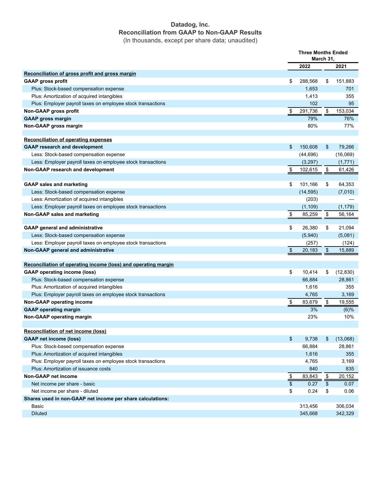## **Datadog, Inc. Reconciliation from GAAP to Non-GAAP Results**

(In thousands, except per share data; unaudited)

|                                                                |             | <b>Three Months Ended</b><br>March 31, |           |           |  |
|----------------------------------------------------------------|-------------|----------------------------------------|-----------|-----------|--|
|                                                                |             | 2022                                   |           | 2021      |  |
| Reconciliation of gross profit and gross margin                |             |                                        |           |           |  |
| <b>GAAP gross profit</b>                                       | \$          | 288,568                                | \$        | 151,883   |  |
| Plus: Stock-based compensation expense                         |             | 1,653                                  |           | 701       |  |
| Plus: Amortization of acquired intangibles                     |             | 1,413                                  |           | 355       |  |
| Plus: Employer payroll taxes on employee stock transactions    |             | 102                                    |           | 95        |  |
| Non-GAAP gross profit                                          | \$          | 291,736                                | \$        | 153,034   |  |
| <b>GAAP gross margin</b>                                       |             | 79%                                    |           | 76%       |  |
| Non-GAAP gross margin                                          |             | 80%                                    |           | 77%       |  |
|                                                                |             |                                        |           |           |  |
| <b>Reconciliation of operating expenses</b>                    |             |                                        |           |           |  |
| <b>GAAP research and development</b>                           | \$          | 150,608                                | \$        | 79,266    |  |
| Less: Stock-based compensation expense                         |             | (44, 696)                              |           | (16,069)  |  |
| Less: Employer payroll taxes on employee stock transactions    |             | (3,297)                                |           | (1,771)   |  |
| Non-GAAP research and development                              | \$          | 102,615                                | \$        | 61,426    |  |
|                                                                |             |                                        |           |           |  |
| <b>GAAP sales and marketing</b>                                | \$          | 101.166                                | \$        | 64,353    |  |
| Less: Stock-based compensation expense                         |             | (14, 595)                              |           | (7,010)   |  |
| Less: Amortization of acquired intangibles                     |             | (203)                                  |           |           |  |
| Less: Employer payroll taxes on employee stock transactions    |             | (1, 109)                               |           | (1, 179)  |  |
| Non-GAAP sales and marketing                                   | \$          | 85,259                                 | \$        | 56,164    |  |
|                                                                |             |                                        |           |           |  |
| <b>GAAP</b> general and administrative                         | \$          | 26,380                                 | \$        | 21,094    |  |
| Less: Stock-based compensation expense                         |             | (5,940)                                |           | (5,081)   |  |
| Less: Employer payroll taxes on employee stock transactions    |             | (257)                                  |           | (124)     |  |
| <b>Non-GAAP general and administrative</b>                     | \$          | 20,183                                 | \$        | 15,889    |  |
|                                                                |             |                                        |           |           |  |
| Reconciliation of operating income (loss) and operating margin |             |                                        |           |           |  |
| <b>GAAP</b> operating income (loss)                            | \$          | 10,414                                 | \$        | (12, 830) |  |
| Plus: Stock-based compensation expense                         |             | 66,884                                 |           | 28,861    |  |
| Plus: Amortization of acquired intangibles                     |             | 1,616                                  |           | 355       |  |
| Plus: Employer payroll taxes on employee stock transactions    |             | 4,765                                  |           | 3,169     |  |
| <b>Non-GAAP operating income</b>                               | \$          | 83,679                                 | S         | 19,555    |  |
| <b>GAAP</b> operating margin                                   |             | 3%                                     |           | (6)%      |  |
| Non-GAAP operating margin                                      |             | 23%                                    |           | 10%       |  |
|                                                                |             |                                        |           |           |  |
| <b>Reconciliation of net income (loss)</b>                     |             |                                        |           |           |  |
| <b>GAAP net income (loss)</b>                                  | \$          | 9,738                                  | \$        | (13,068)  |  |
| Plus: Stock-based compensation expense                         |             | 66,884                                 |           | 28,861    |  |
| Plus: Amortization of acquired intangibles                     |             | 1,616                                  |           | 355       |  |
| Plus: Employer payroll taxes on employee stock transactions    |             | 4,765                                  |           | 3,169     |  |
| Plus: Amortization of issuance costs                           |             | 840                                    |           | 835       |  |
| <b>Non-GAAP net income</b>                                     |             | 83,843                                 | <u>\$</u> | 20,152    |  |
| Net income per share - basic                                   | $rac{1}{3}$ | 0.27                                   | \$        | 0.07      |  |
| Net income per share - diluted                                 | \$          | 0.24                                   | \$        | 0.06      |  |
| Shares used in non-GAAP net income per share calculations:     |             |                                        |           |           |  |
| Basic                                                          |             | 313,456                                |           | 306,034   |  |
| <b>Diluted</b>                                                 |             | 345,668                                |           | 342,329   |  |